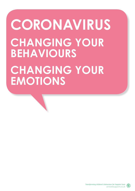# **CORONAVIRUS CHANGING YOUR BEHAVIOURS CHANGING YOUR EMOTIONS**

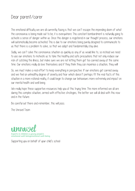#### Dear parent/carer

The emotional difficulty we are all currently facing is that we can't escape the impending doom of what the coronavirus is being made out to be; it is everywhere. This constant bombardment is naturally going to activate a sense of danger within us. Once this danger is registered in our thought process, our emotions will automatically become activated. This is due to our emotions being purely designed to communicate to us that there is a problem to solve, so that we adapt and fundamentally stay alive.

Sadly, we can't solve the coronavirus situation as quickly as any of us would like to, so instead we need to use our emotions to motivate us to take the healthy and safe precautions that not only reduce our risk of catching the illness, but make sure we are not letting them get too carried away at the same time. Our emotions really do love themselves and if they think they can maximise a situation, they will

So, we must make a real effort to keep everything in perspective. If our emotions get carried away and we feel an unhealthy degree of anxiety and fear which doesn't perhaps fit the real facts of this situation in a more rational reality, it could begin to change our behaviours more extremely and impact on our mental health and well being.

We really hope these supportive resources help you at this trying time. The more informed we all are during this complex situation, armed with effective strategies, the better we will all deal with this now and in the future.

Be careful out there and remember, this will pass.

The Unravel Team



Supporting you on behalf of your child's school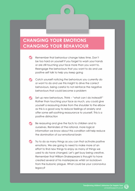#### **CHANGING YOUR EMOTIONS CHANGING YOUR BEHAVIOUR**

- Remember that behaviour change takes time. Don't be too hard on yourself if you forget to wash your hands or are still touching your face more than you want to. Reengage the behaviours that you want to do and use positive self talk to help you keep going
- Catch yourself noticing the behaviours you currently do or want to do and use this insight to drive the correct behaviours, being careful to not reinforce the negative behaviours that could become a problem
- Set up new behaviours. Think "what can I do instead?" Rather than touching your face as much, you could give yourself a reassuring stroke from the shoulder to the elbow as this is a good way to reduce feelings of anxiety and offer some self-soothing reassurance to yourself. This is a positive distraction
- Be reassuring and give the facts to children and to ourselves. Reminders of the rational, more logical information we know about this condition will help reduce the domination of our emotional brain
- $\blacktriangledown$  Try to do as many things as you can that activate positive emotions. We are going to need to make more of an effort to find new things to enjoy as many of things we used to do have changed. Let's get busy being creative. Remember that William Shakespeare is thought to have created several of his masterpieces whilst on lockdown from the bubonic plague. What could be your coronavirus legacy?